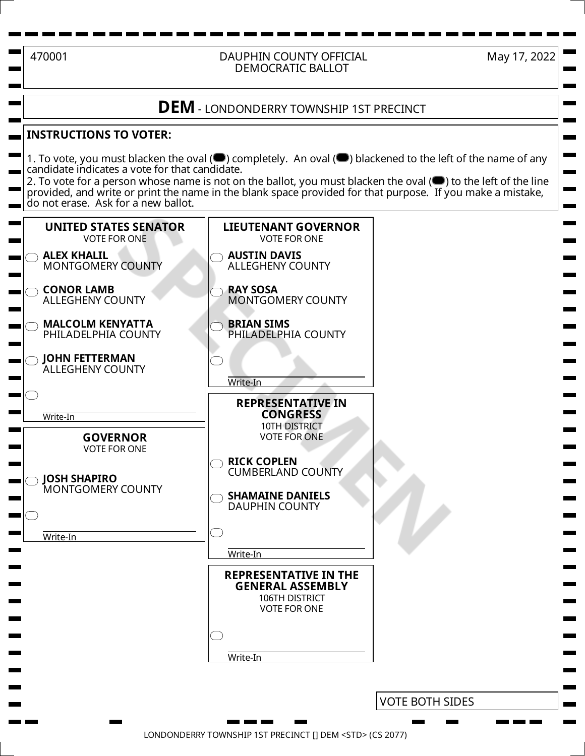## 470001 DAUPHIN COUNTY OFFICIAL DEMOCRATIC BALLOT

May 17, 2022

## **DEM** - LONDONDERRY TOWNSHIP 1ST PRECINCT

## **INSTRUCTIONS TO VOTER:**

1. To vote, you must blacken the oval ( $\blacksquare$ ) completely. An oval ( $\blacksquare$ ) blackened to the left of the name of any candidate indicates a vote for that candidate.

2. To vote for a person whose name is not on the ballot, you must blacken the oval  $($ **)** to the left of the line provided, and write or print the name in the blank space provided for that purpose. If you make a mistake, do not erase. Ask for a new ballot.



VOTE BOTH SIDES